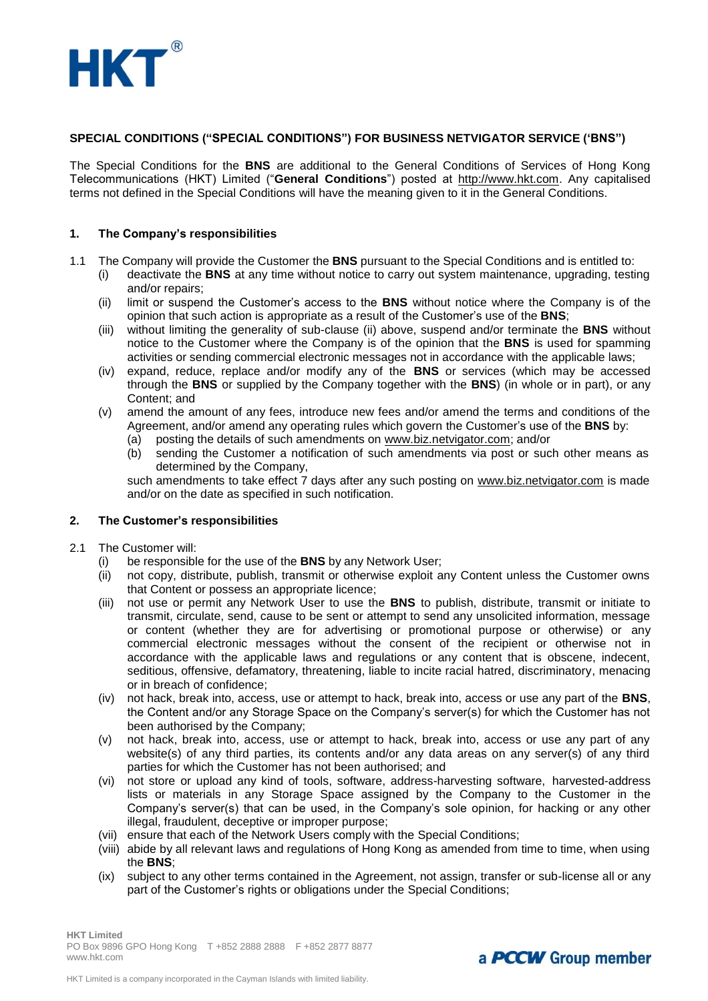

# **SPECIAL CONDITIONS ("SPECIAL CONDITIONS") FOR BUSINESS NETVIGATOR SERVICE ('BNS")**

The Special Conditions for the **BNS** are additional to the General Conditions of Services of Hong Kong Telecommunications (HKT) Limited ("**General Conditions**") posted at [http://www.hkt.com.](http://www.hkt.com/) Any capitalised terms not defined in the Special Conditions will have the meaning given to it in the General Conditions.

#### **1. The Company's responsibilities**

- 1.1 The Company will provide the Customer the **BNS** pursuant to the Special Conditions and is entitled to:
	- (i) deactivate the **BNS** at any time without notice to carry out system maintenance, upgrading, testing and/or repairs;
	- (ii) limit or suspend the Customer's access to the **BNS** without notice where the Company is of the opinion that such action is appropriate as a result of the Customer's use of the **BNS**;
	- (iii) without limiting the generality of sub-clause (ii) above, suspend and/or terminate the **BNS** without notice to the Customer where the Company is of the opinion that the **BNS** is used for spamming activities or sending commercial electronic messages not in accordance with the applicable laws;
	- (iv) expand, reduce, replace and/or modify any of the **BNS** or services (which may be accessed through the **BNS** or supplied by the Company together with the **BNS**) (in whole or in part), or any Content; and
	- (v) amend the amount of any fees, introduce new fees and/or amend the terms and conditions of the Agreement, and/or amend any operating rules which govern the Customer's use of the **BNS** by:
		- (a) posting the details of such amendments on [www.biz.netvigator.com;](http://www.biz.netvigator.com/) and/or
		- (b) sending the Customer a notification of such amendments via post or such other means as determined by the Company,

such amendments to take effect 7 days after any such posting on [www.biz.netvigator.com](http://www.biz.netvigator.com/) is made and/or on the date as specified in such notification.

## **2. The Customer's responsibilities**

- 2.1 The Customer will:
	- (i) be responsible for the use of the **BNS** by any Network User;
	- (ii) not copy, distribute, publish, transmit or otherwise exploit any Content unless the Customer owns that Content or possess an appropriate licence;
	- (iii) not use or permit any Network User to use the **BNS** to publish, distribute, transmit or initiate to transmit, circulate, send, cause to be sent or attempt to send any unsolicited information, message or content (whether they are for advertising or promotional purpose or otherwise) or any commercial electronic messages without the consent of the recipient or otherwise not in accordance with the applicable laws and regulations or any content that is obscene, indecent, seditious, offensive, defamatory, threatening, liable to incite racial hatred, discriminatory, menacing or in breach of confidence;
	- (iv) not hack, break into, access, use or attempt to hack, break into, access or use any part of the **BNS**, the Content and/or any Storage Space on the Company's server(s) for which the Customer has not been authorised by the Company;
	- (v) not hack, break into, access, use or attempt to hack, break into, access or use any part of any website(s) of any third parties, its contents and/or any data areas on any server(s) of any third parties for which the Customer has not been authorised; and
	- (vi) not store or upload any kind of tools, software, address-harvesting software, harvested-address lists or materials in any Storage Space assigned by the Company to the Customer in the Company's server(s) that can be used, in the Company's sole opinion, for hacking or any other illegal, fraudulent, deceptive or improper purpose;
	- (vii) ensure that each of the Network Users comply with the Special Conditions;
	- (viii) abide by all relevant laws and regulations of Hong Kong as amended from time to time, when using the **BNS**;
	- (ix) subject to any other terms contained in the Agreement, not assign, transfer or sub-license all or any part of the Customer's rights or obligations under the Special Conditions;

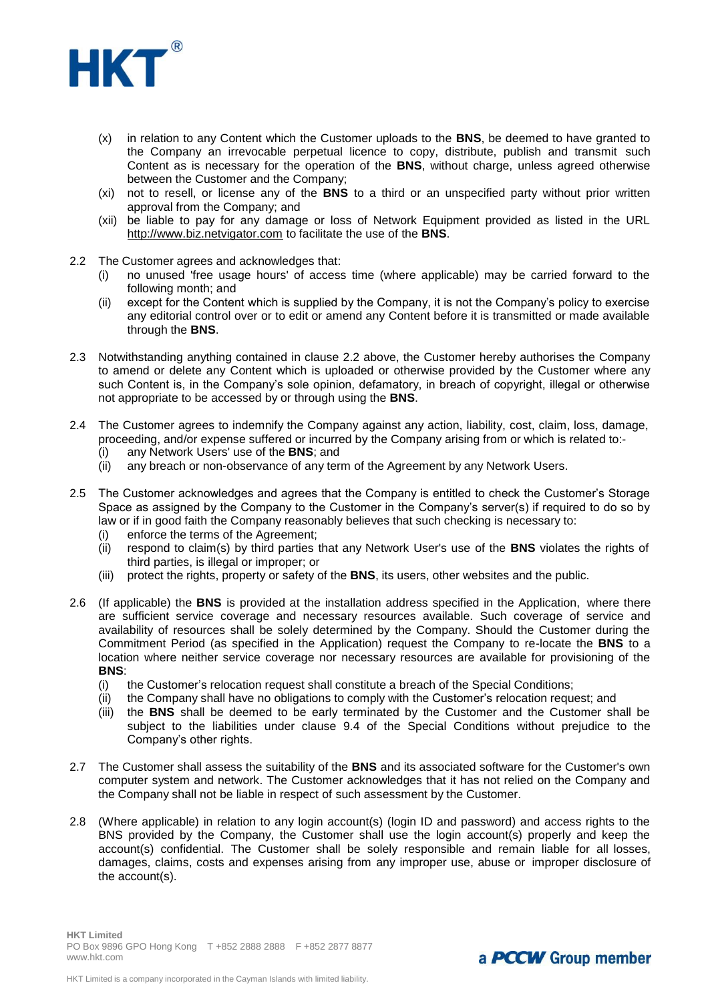

- (x) in relation to any Content which the Customer uploads to the **BNS**, be deemed to have granted to the Company an irrevocable perpetual licence to copy, distribute, publish and transmit such Content as is necessary for the operation of the **BNS**, without charge, unless agreed otherwise between the Customer and the Company;
- (xi) not to resell, or license any of the **BNS** to a third or an unspecified party without prior written approval from the Company; and
- (xii) be liable to pay for any damage or loss of Network Equipment provided as listed in the URL [http://www.biz.netvigator.com](http://www.biz.netvigator.com/) to facilitate the use of the **BNS**.
- 2.2 The Customer agrees and acknowledges that:
	- (i) no unused 'free usage hours' of access time (where applicable) may be carried forward to the following month; and
	- (ii) except for the Content which is supplied by the Company, it is not the Company's policy to exercise any editorial control over or to edit or amend any Content before it is transmitted or made available through the **BNS**.
- 2.3 Notwithstanding anything contained in clause 2.2 above, the Customer hereby authorises the Company to amend or delete any Content which is uploaded or otherwise provided by the Customer where any such Content is, in the Company's sole opinion, defamatory, in breach of copyright, illegal or otherwise not appropriate to be accessed by or through using the **BNS**.
- 2.4 The Customer agrees to indemnify the Company against any action, liability, cost, claim, loss, damage, proceeding, and/or expense suffered or incurred by the Company arising from or which is related to:-
	- (i) any Network Users' use of the **BNS**; and
	- (ii) any breach or non-observance of any term of the Agreement by any Network Users.
- 2.5 The Customer acknowledges and agrees that the Company is entitled to check the Customer's Storage Space as assigned by the Company to the Customer in the Company's server(s) if required to do so by law or if in good faith the Company reasonably believes that such checking is necessary to:
	- (i) enforce the terms of the Agreement;
	- (ii) respond to claim(s) by third parties that any Network User's use of the **BNS** violates the rights of third parties, is illegal or improper; or
	- (iii) protect the rights, property or safety of the **BNS**, its users, other websites and the public.
- 2.6 (If applicable) the **BNS** is provided at the installation address specified in the Application, where there are sufficient service coverage and necessary resources available. Such coverage of service and availability of resources shall be solely determined by the Company. Should the Customer during the Commitment Period (as specified in the Application) request the Company to re-locate the **BNS** to a location where neither service coverage nor necessary resources are available for provisioning of the **BNS**:
	- (i) the Customer's relocation request shall constitute a breach of the Special Conditions;
	- (ii) the Company shall have no obligations to comply with the Customer's relocation request; and
	- (iii) the **BNS** shall be deemed to be early terminated by the Customer and the Customer shall be subject to the liabilities under clause 9.4 of the Special Conditions without prejudice to the Company's other rights.
- 2.7 The Customer shall assess the suitability of the **BNS** and its associated software for the Customer's own computer system and network. The Customer acknowledges that it has not relied on the Company and the Company shall not be liable in respect of such assessment by the Customer.
- 2.8 (Where applicable) in relation to any login account(s) (login ID and password) and access rights to the BNS provided by the Company, the Customer shall use the login account(s) properly and keep the account(s) confidential. The Customer shall be solely responsible and remain liable for all losses, damages, claims, costs and expenses arising from any improper use, abuse or improper disclosure of the account(s).



HKT Limited is a company incorporated in the Cayman Islands with limited liability.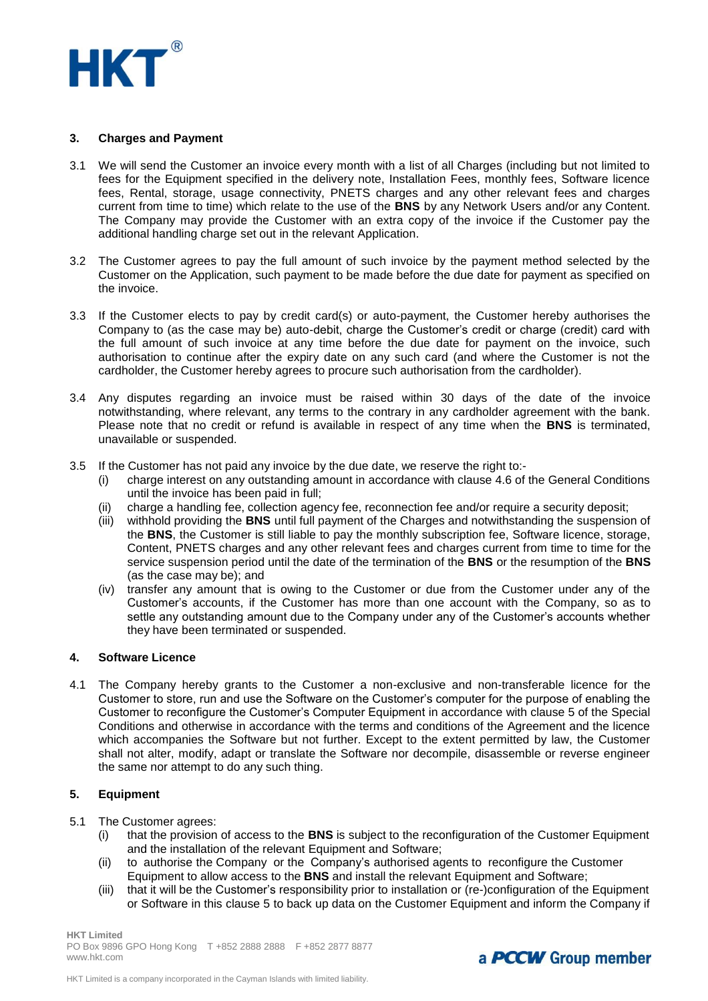

#### **3. Charges and Payment**

- 3.1 We will send the Customer an invoice every month with a list of all Charges (including but not limited to fees for the Equipment specified in the delivery note, Installation Fees, monthly fees, Software licence fees, Rental, storage, usage connectivity, PNETS charges and any other relevant fees and charges current from time to time) which relate to the use of the **BNS** by any Network Users and/or any Content. The Company may provide the Customer with an extra copy of the invoice if the Customer pay the additional handling charge set out in the relevant Application.
- 3.2 The Customer agrees to pay the full amount of such invoice by the payment method selected by the Customer on the Application, such payment to be made before the due date for payment as specified on the invoice.
- 3.3 If the Customer elects to pay by credit card(s) or auto-payment, the Customer hereby authorises the Company to (as the case may be) auto-debit, charge the Customer's credit or charge (credit) card with the full amount of such invoice at any time before the due date for payment on the invoice, such authorisation to continue after the expiry date on any such card (and where the Customer is not the cardholder, the Customer hereby agrees to procure such authorisation from the cardholder).
- 3.4 Any disputes regarding an invoice must be raised within 30 days of the date of the invoice notwithstanding, where relevant, any terms to the contrary in any cardholder agreement with the bank. Please note that no credit or refund is available in respect of any time when the **BNS** is terminated, unavailable or suspended.
- 3.5 If the Customer has not paid any invoice by the due date, we reserve the right to:-
	- (i) charge interest on any outstanding amount in accordance with clause 4.6 of the General Conditions until the invoice has been paid in full;
	- (ii) charge a handling fee, collection agency fee, reconnection fee and/or require a security deposit;
	- (iii) withhold providing the **BNS** until full payment of the Charges and notwithstanding the suspension of the **BNS**, the Customer is still liable to pay the monthly subscription fee, Software licence, storage, Content, PNETS charges and any other relevant fees and charges current from time to time for the service suspension period until the date of the termination of the **BNS** or the resumption of the **BNS** (as the case may be); and
	- (iv) transfer any amount that is owing to the Customer or due from the Customer under any of the Customer's accounts, if the Customer has more than one account with the Company, so as to settle any outstanding amount due to the Company under any of the Customer's accounts whether they have been terminated or suspended.

## **4. Software Licence**

4.1 The Company hereby grants to the Customer a non-exclusive and non-transferable licence for the Customer to store, run and use the Software on the Customer's computer for the purpose of enabling the Customer to reconfigure the Customer's Computer Equipment in accordance with clause 5 of the Special Conditions and otherwise in accordance with the terms and conditions of the Agreement and the licence which accompanies the Software but not further. Except to the extent permitted by law, the Customer shall not alter, modify, adapt or translate the Software nor decompile, disassemble or reverse engineer the same nor attempt to do any such thing.

#### **5. Equipment**

- 5.1 The Customer agrees:
	- (i) that the provision of access to the **BNS** is subject to the reconfiguration of the Customer Equipment and the installation of the relevant Equipment and Software;
	- (ii) to authorise the Company or the Company's authorised agents to reconfigure the Customer Equipment to allow access to the **BNS** and install the relevant Equipment and Software;
	- (iii) that it will be the Customer's responsibility prior to installation or (re-)configuration of the Equipment or Software in this clause 5 to back up data on the Customer Equipment and inform the Company if

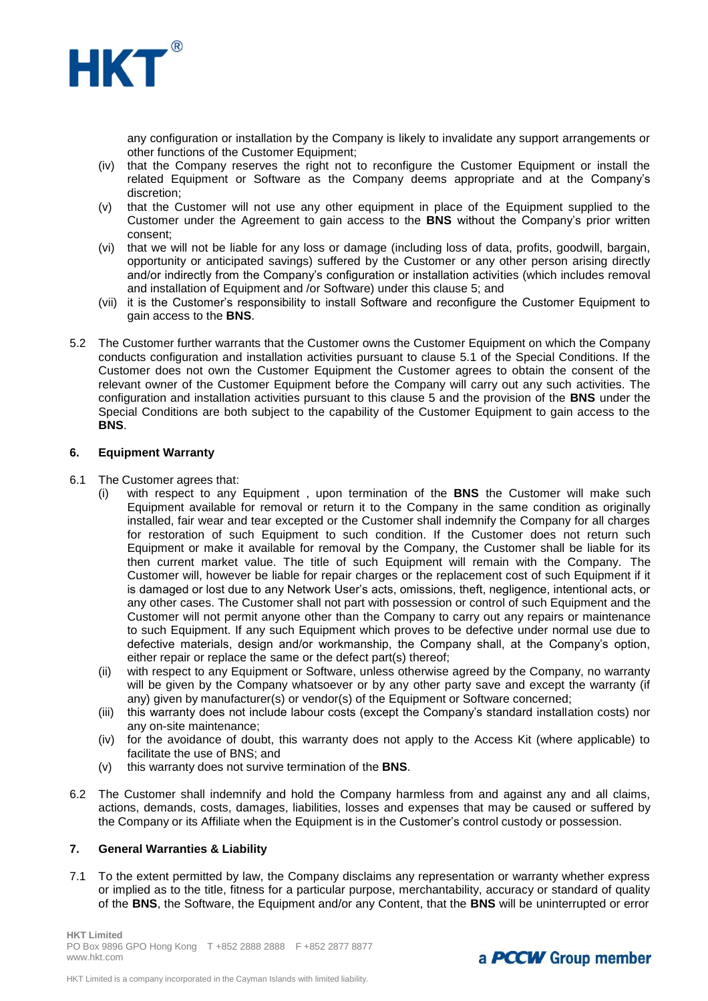

any configuration or installation by the Company is likely to invalidate any support arrangements or other functions of the Customer Equipment;

- (iv) that the Company reserves the right not to reconfigure the Customer Equipment or install the related Equipment or Software as the Company deems appropriate and at the Company's discretion;
- (v) that the Customer will not use any other equipment in place of the Equipment supplied to the Customer under the Agreement to gain access to the **BNS** without the Company's prior written consent;
- (vi) that we will not be liable for any loss or damage (including loss of data, profits, goodwill, bargain, opportunity or anticipated savings) suffered by the Customer or any other person arising directly and/or indirectly from the Company's configuration or installation activities (which includes removal and installation of Equipment and /or Software) under this clause 5; and
- (vii) it is the Customer's responsibility to install Software and reconfigure the Customer Equipment to gain access to the **BNS**.
- 5.2 The Customer further warrants that the Customer owns the Customer Equipment on which the Company conducts configuration and installation activities pursuant to clause 5.1 of the Special Conditions. If the Customer does not own the Customer Equipment the Customer agrees to obtain the consent of the relevant owner of the Customer Equipment before the Company will carry out any such activities. The configuration and installation activities pursuant to this clause 5 and the provision of the **BNS** under the Special Conditions are both subject to the capability of the Customer Equipment to gain access to the **BNS**.

## **6. Equipment Warranty**

- 6.1 The Customer agrees that:
	- (i) with respect to any Equipment , upon termination of the **BNS** the Customer will make such Equipment available for removal or return it to the Company in the same condition as originally installed, fair wear and tear excepted or the Customer shall indemnify the Company for all charges for restoration of such Equipment to such condition. If the Customer does not return such Equipment or make it available for removal by the Company, the Customer shall be liable for its then current market value. The title of such Equipment will remain with the Company. The Customer will, however be liable for repair charges or the replacement cost of such Equipment if it is damaged or lost due to any Network User's acts, omissions, theft, negligence, intentional acts, or any other cases. The Customer shall not part with possession or control of such Equipment and the Customer will not permit anyone other than the Company to carry out any repairs or maintenance to such Equipment. If any such Equipment which proves to be defective under normal use due to defective materials, design and/or workmanship, the Company shall, at the Company's option, either repair or replace the same or the defect part(s) thereof;
	- (ii) with respect to any Equipment or Software, unless otherwise agreed by the Company, no warranty will be given by the Company whatsoever or by any other party save and except the warranty (if any) given by manufacturer(s) or vendor(s) of the Equipment or Software concerned;
	- (iii) this warranty does not include labour costs (except the Company's standard installation costs) nor any on-site maintenance;
	- (iv) for the avoidance of doubt, this warranty does not apply to the Access Kit (where applicable) to facilitate the use of BNS; and
	- (v) this warranty does not survive termination of the **BNS**.
- 6.2 The Customer shall indemnify and hold the Company harmless from and against any and all claims, actions, demands, costs, damages, liabilities, losses and expenses that may be caused or suffered by the Company or its Affiliate when the Equipment is in the Customer's control custody or possession.

## **7. General Warranties & Liability**

7.1 To the extent permitted by law, the Company disclaims any representation or warranty whether express or implied as to the title, fitness for a particular purpose, merchantability, accuracy or standard of quality of the **BNS**, the Software, the Equipment and/or any Content, that the **BNS** will be uninterrupted or error



HKT Limited is a company incorporated in the Cayman Islands with limited liability.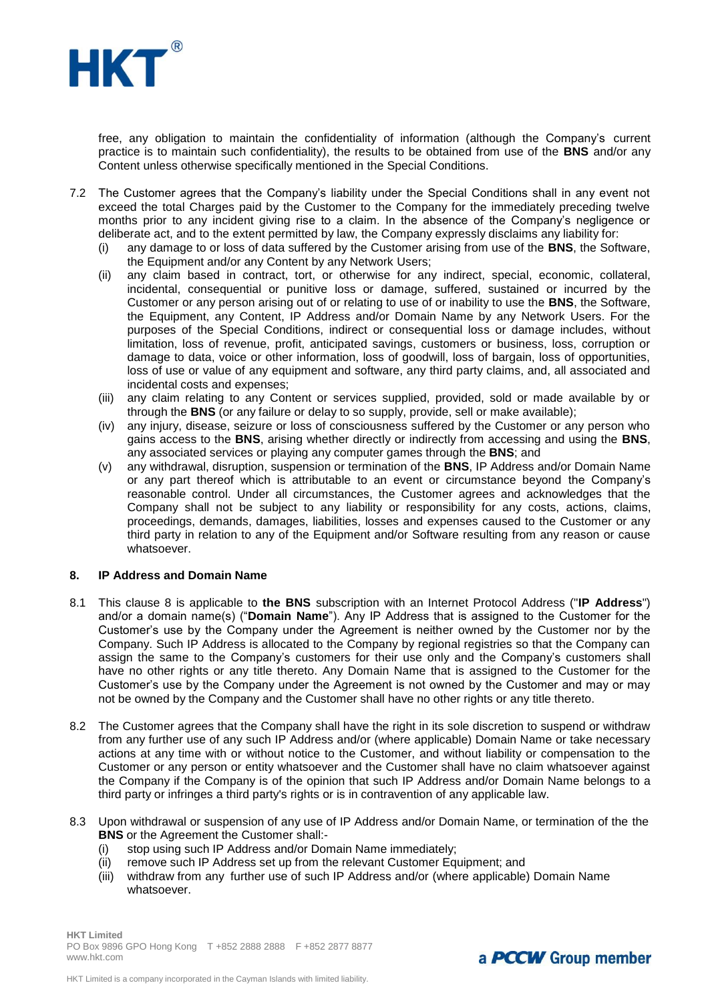

free, any obligation to maintain the confidentiality of information (although the Company's current practice is to maintain such confidentiality), the results to be obtained from use of the **BNS** and/or any Content unless otherwise specifically mentioned in the Special Conditions.

- 7.2 The Customer agrees that the Company's liability under the Special Conditions shall in any event not exceed the total Charges paid by the Customer to the Company for the immediately preceding twelve months prior to any incident giving rise to a claim. In the absence of the Company's negligence or deliberate act, and to the extent permitted by law, the Company expressly disclaims any liability for:
	- (i) any damage to or loss of data suffered by the Customer arising from use of the **BNS**, the Software, the Equipment and/or any Content by any Network Users;
	- (ii) any claim based in contract, tort, or otherwise for any indirect, special, economic, collateral, incidental, consequential or punitive loss or damage, suffered, sustained or incurred by the Customer or any person arising out of or relating to use of or inability to use the **BNS**, the Software, the Equipment, any Content, IP Address and/or Domain Name by any Network Users. For the purposes of the Special Conditions, indirect or consequential loss or damage includes, without limitation, loss of revenue, profit, anticipated savings, customers or business, loss, corruption or damage to data, voice or other information, loss of goodwill, loss of bargain, loss of opportunities, loss of use or value of any equipment and software, any third party claims, and, all associated and incidental costs and expenses;
	- (iii) any claim relating to any Content or services supplied, provided, sold or made available by or through the **BNS** (or any failure or delay to so supply, provide, sell or make available);
	- (iv) any injury, disease, seizure or loss of consciousness suffered by the Customer or any person who gains access to the **BNS**, arising whether directly or indirectly from accessing and using the **BNS**, any associated services or playing any computer games through the **BNS**; and
	- (v) any withdrawal, disruption, suspension or termination of the **BNS**, IP Address and/or Domain Name or any part thereof which is attributable to an event or circumstance beyond the Company's reasonable control. Under all circumstances, the Customer agrees and acknowledges that the Company shall not be subject to any liability or responsibility for any costs, actions, claims, proceedings, demands, damages, liabilities, losses and expenses caused to the Customer or any third party in relation to any of the Equipment and/or Software resulting from any reason or cause whatsoever.

## **8. IP Address and Domain Name**

- 8.1 This clause 8 is applicable to **the BNS** subscription with an Internet Protocol Address ("**IP Address**") and/or a domain name(s) ("**Domain Name**"). Any IP Address that is assigned to the Customer for the Customer's use by the Company under the Agreement is neither owned by the Customer nor by the Company. Such IP Address is allocated to the Company by regional registries so that the Company can assign the same to the Company's customers for their use only and the Company's customers shall have no other rights or any title thereto. Any Domain Name that is assigned to the Customer for the Customer's use by the Company under the Agreement is not owned by the Customer and may or may not be owned by the Company and the Customer shall have no other rights or any title thereto.
- 8.2 The Customer agrees that the Company shall have the right in its sole discretion to suspend or withdraw from any further use of any such IP Address and/or (where applicable) Domain Name or take necessary actions at any time with or without notice to the Customer, and without liability or compensation to the Customer or any person or entity whatsoever and the Customer shall have no claim whatsoever against the Company if the Company is of the opinion that such IP Address and/or Domain Name belongs to a third party or infringes a third party's rights or is in contravention of any applicable law.
- 8.3 Upon withdrawal or suspension of any use of IP Address and/or Domain Name, or termination of the the **BNS** or the Agreement the Customer shall:-
	- (i) stop using such IP Address and/or Domain Name immediately;
	- (ii) remove such IP Address set up from the relevant Customer Equipment; and
	- (iii) withdraw from any further use of such IP Address and/or (where applicable) Domain Name whatsoever.



HKT Limited is a company incorporated in the Cayman Islands with limited liability.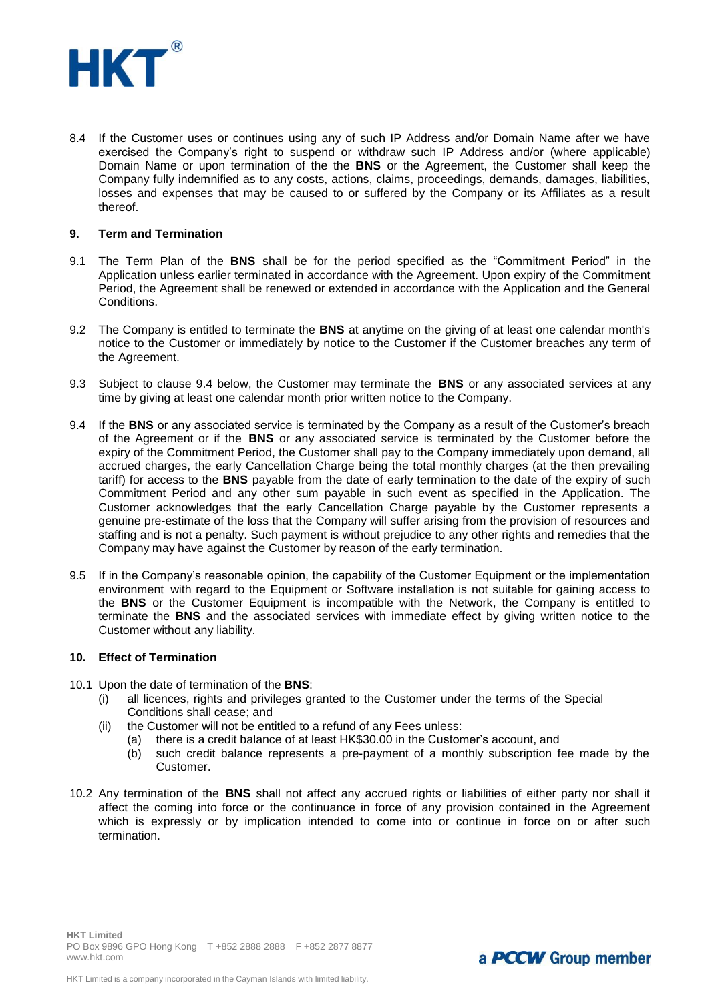

8.4 If the Customer uses or continues using any of such IP Address and/or Domain Name after we have exercised the Company's right to suspend or withdraw such IP Address and/or (where applicable) Domain Name or upon termination of the the **BNS** or the Agreement, the Customer shall keep the Company fully indemnified as to any costs, actions, claims, proceedings, demands, damages, liabilities, losses and expenses that may be caused to or suffered by the Company or its Affiliates as a result thereof.

### **9. Term and Termination**

- 9.1 The Term Plan of the **BNS** shall be for the period specified as the "Commitment Period" in the Application unless earlier terminated in accordance with the Agreement. Upon expiry of the Commitment Period, the Agreement shall be renewed or extended in accordance with the Application and the General **Conditions**
- 9.2 The Company is entitled to terminate the **BNS** at anytime on the giving of at least one calendar month's notice to the Customer or immediately by notice to the Customer if the Customer breaches any term of the Agreement.
- 9.3 Subject to clause 9.4 below, the Customer may terminate the **BNS** or any associated services at any time by giving at least one calendar month prior written notice to the Company.
- 9.4 If the **BNS** or any associated service is terminated by the Company as a result of the Customer's breach of the Agreement or if the **BNS** or any associated service is terminated by the Customer before the expiry of the Commitment Period, the Customer shall pay to the Company immediately upon demand, all accrued charges, the early Cancellation Charge being the total monthly charges (at the then prevailing tariff) for access to the **BNS** payable from the date of early termination to the date of the expiry of such Commitment Period and any other sum payable in such event as specified in the Application. The Customer acknowledges that the early Cancellation Charge payable by the Customer represents a genuine pre-estimate of the loss that the Company will suffer arising from the provision of resources and staffing and is not a penalty. Such payment is without prejudice to any other rights and remedies that the Company may have against the Customer by reason of the early termination.
- 9.5 If in the Company's reasonable opinion, the capability of the Customer Equipment or the implementation environment with regard to the Equipment or Software installation is not suitable for gaining access to the **BNS** or the Customer Equipment is incompatible with the Network, the Company is entitled to terminate the **BNS** and the associated services with immediate effect by giving written notice to the Customer without any liability.

#### **10. Effect of Termination**

- 10.1 Upon the date of termination of the **BNS**:
	- (i) all licences, rights and privileges granted to the Customer under the terms of the Special Conditions shall cease; and
	- (ii) the Customer will not be entitled to a refund of any Fees unless:
		- (a) there is a credit balance of at least HK\$30.00 in the Customer's account, and
		- (b) such credit balance represents a pre-payment of a monthly subscription fee made by the Customer.
- 10.2 Any termination of the **BNS** shall not affect any accrued rights or liabilities of either party nor shall it affect the coming into force or the continuance in force of any provision contained in the Agreement which is expressly or by implication intended to come into or continue in force on or after such termination.



HKT Limited is a company incorporated in the Cayman Islands with limited liability.